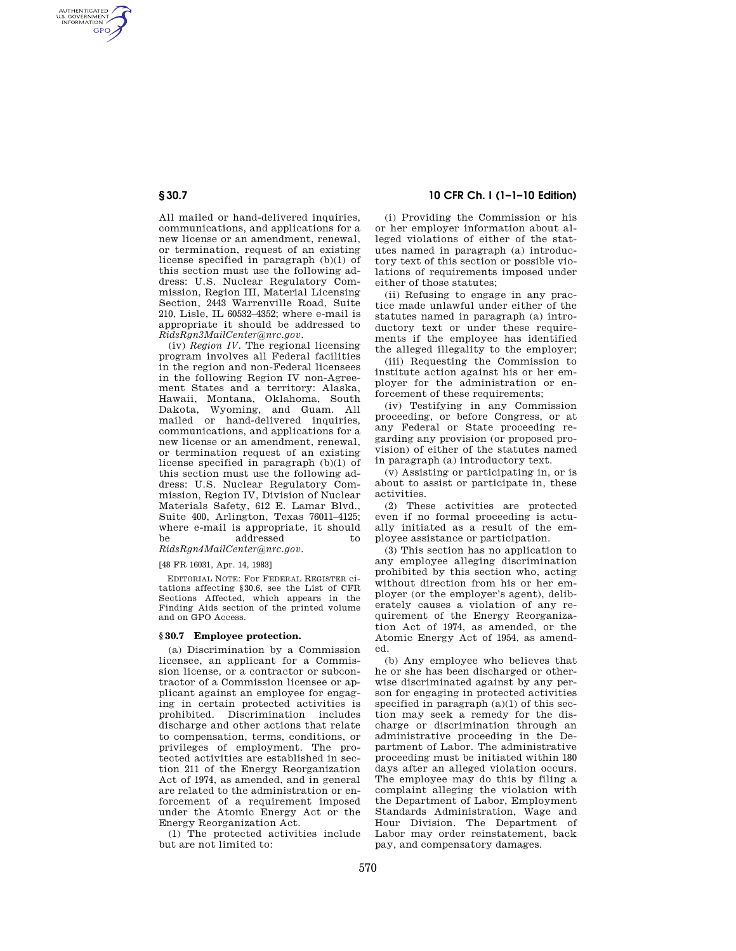AUTHENTICATED<br>U.S. GOVERNMENT<br>INFORMATION **GPO** 

> All mailed or hand-delivered inquiries, communications, and applications for a new license or an amendment, renewal, or termination, request of an existing license specified in paragraph (b)(1) of this section must use the following address: U.S. Nuclear Regulatory Commission, Region III, Material Licensing Section, 2443 Warrenville Road, Suite 210, Lisle, IL 60532–4352; where e-mail is appropriate it should be addressed to *RidsRgn3MailCenter@nrc.gov*.

> (iv) *Region IV.* The regional licensing program involves all Federal facilities in the region and non-Federal licensees in the following Region IV non-Agreement States and a territory: Alaska, Hawaii, Montana, Oklahoma, South Dakota, Wyoming, and Guam. All mailed or hand-delivered inquiries, communications, and applications for a new license or an amendment, renewal, or termination request of an existing license specified in paragraph (b)(1) of this section must use the following address: U.S. Nuclear Regulatory Commission, Region IV, Division of Nuclear Materials Safety, 612 E. Lamar Blvd., Suite 400, Arlington, Texas 76011–4125; where e-mail is appropriate, it should be addressed to

*RidsRgn4MailCenter@nrc.gov.* 

[48 FR 16031, Apr. 14, 1983]

EDITORIAL NOTE: For FEDERAL REGISTER citations affecting §30.6, see the List of CFR Sections Affected, which appears in the Finding Aids section of the printed volume and on GPO Access.

## **§ 30.7 Employee protection.**

(a) Discrimination by a Commission licensee, an applicant for a Commission license, or a contractor or subcontractor of a Commission licensee or applicant against an employee for engaging in certain protected activities is prohibited. Discrimination includes discharge and other actions that relate to compensation, terms, conditions, or privileges of employment. The protected activities are established in section 211 of the Energy Reorganization Act of 1974, as amended, and in general are related to the administration or enforcement of a requirement imposed under the Atomic Energy Act or the Energy Reorganization Act.

(1) The protected activities include but are not limited to:

## **§ 30.7 10 CFR Ch. I (1–1–10 Edition)**

(i) Providing the Commission or his or her employer information about alleged violations of either of the statutes named in paragraph (a) introductory text of this section or possible violations of requirements imposed under either of those statutes;

(ii) Refusing to engage in any practice made unlawful under either of the statutes named in paragraph (a) introductory text or under these requirements if the employee has identified the alleged illegality to the employer;

(iii) Requesting the Commission to institute action against his or her employer for the administration or enforcement of these requirements;

(iv) Testifying in any Commission proceeding, or before Congress, or at any Federal or State proceeding regarding any provision (or proposed provision) of either of the statutes named in paragraph (a) introductory text.

(v) Assisting or participating in, or is about to assist or participate in, these activities.

(2) These activities are protected even if no formal proceeding is actually initiated as a result of the employee assistance or participation.

(3) This section has no application to any employee alleging discrimination prohibited by this section who, acting without direction from his or her employer (or the employer's agent), deliberately causes a violation of any requirement of the Energy Reorganization Act of 1974, as amended, or the Atomic Energy Act of 1954, as amended.

(b) Any employee who believes that he or she has been discharged or otherwise discriminated against by any person for engaging in protected activities specified in paragraph  $(a)(1)$  of this section may seek a remedy for the discharge or discrimination through an administrative proceeding in the Department of Labor. The administrative proceeding must be initiated within 180 days after an alleged violation occurs. The employee may do this by filing a complaint alleging the violation with the Department of Labor, Employment Standards Administration, Wage and Hour Division. The Department of Labor may order reinstatement, back pay, and compensatory damages.